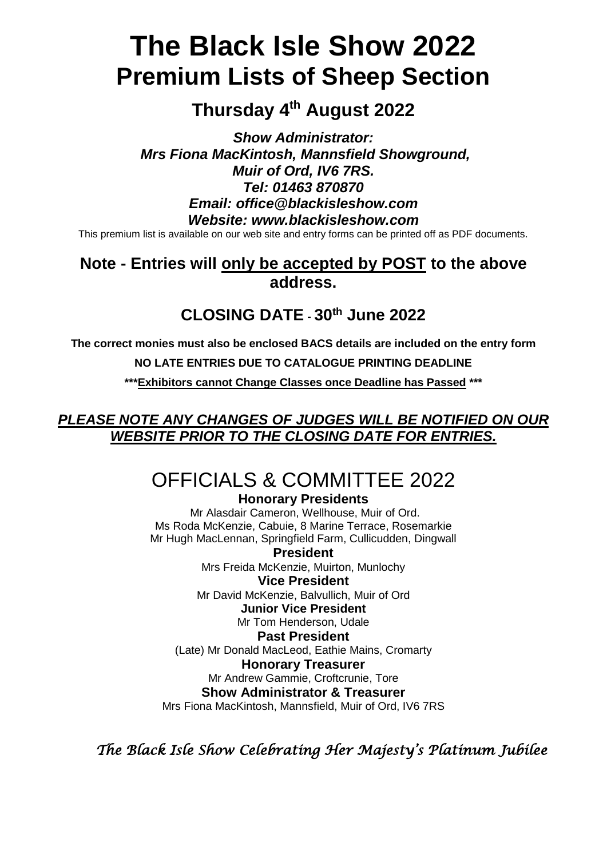# **The Black Isle Show 2022 Premium Lists of Sheep Section**

## **Thursday 4 th August 2022**

*Show Administrator: Mrs Fiona MacKintosh, Mannsfield Showground, Muir of Ord, IV6 7RS. Tel: 01463 870870 Email: office@blackisleshow.com Website: www.blackisleshow.com*

This premium list is available on our web site and entry forms can be printed off as PDF documents.

## **Note - Entries will only be accepted by POST to the above address.**

## **CLOSING DATE - 30th June 2022**

**The correct monies must also be enclosed BACS details are included on the entry form**

**NO LATE ENTRIES DUE TO CATALOGUE PRINTING DEADLINE**

**\*\*\*Exhibitors cannot Change Classes once Deadline has Passed \*\*\***

*PLEASE NOTE ANY CHANGES OF JUDGES WILL BE NOTIFIED ON OUR WEBSITE PRIOR TO THE CLOSING DATE FOR ENTRIES.*

# OFFICIALS & COMMITTEE 2022

**Honorary Presidents**

Mr Alasdair Cameron, Wellhouse, Muir of Ord. Ms Roda McKenzie, Cabuie, 8 Marine Terrace, Rosemarkie Mr Hugh MacLennan, Springfield Farm, Cullicudden, Dingwall

**President** Mrs Freida McKenzie, Muirton, Munlochy **Vice President**

Mr David McKenzie, Balvullich, Muir of Ord

**Junior Vice President**

Mr Tom Henderson, Udale

**Past President**

(Late) Mr Donald MacLeod, Eathie Mains, Cromarty

## **Honorary Treasurer**

Mr Andrew Gammie, Croftcrunie, Tore

### **Show Administrator & Treasurer**

Mrs Fiona MacKintosh, Mannsfield, Muir of Ord, IV6 7RS

*The Black Isle Show Celebrating Her Majesty's Platinum Jubilee*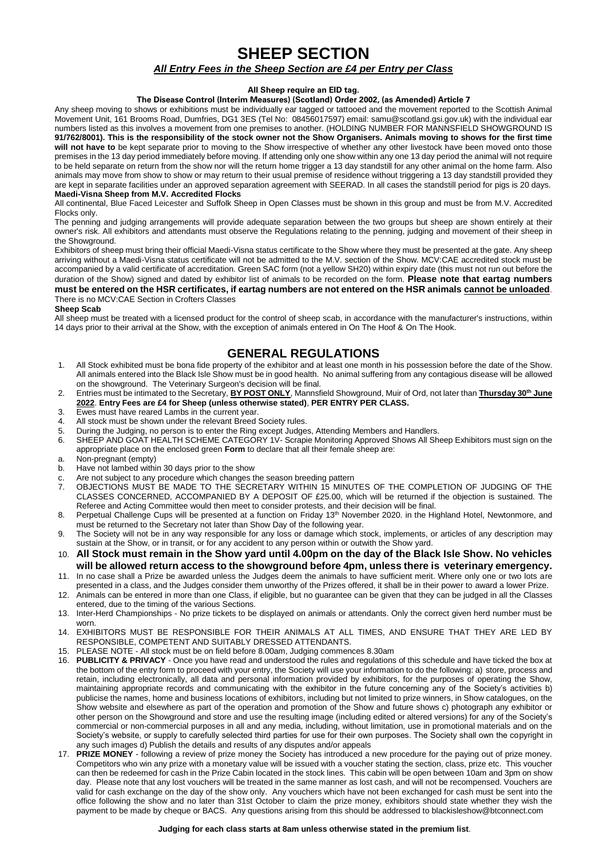### **SHEEP SECTION**

#### *All Entry Fees in the Sheep Section are £4 per Entry per Class*

#### **All Sheep require an EID tag.**

#### **The Disease Control (Interim Measures) (Scotland) Order 2002, (as Amended) Article 7**

Any sheep moving to shows or exhibitions must be individually ear tagged or tattooed and the movement reported to the Scottish Animal Movement Unit, 161 Brooms Road, Dumfries, DG1 3ES (Tel No: 08456017597) email: samu@scotland.gsi.gov.uk) with the individual ear numbers listed as this involves a movement from one premises to another. (HOLDING NUMBER FOR MANNSFIELD SHOWGROUND IS **91/762/8001). This is the responsibility of the stock owner not the Show Organisers. Animals moving to shows for the first time will not have to** be kept separate prior to moving to the Show irrespective of whether any other livestock have been moved onto those premises in the 13 day period immediately before moving. If attending only one show within any one 13 day period the animal will not require to be held separate on return from the show nor will the return home trigger a 13 day standstill for any other animal on the home farm. Also animals may move from show to show or may return to their usual premise of residence without triggering a 13 day standstill provided they are kept in separate facilities under an approved separation agreement with SEERAD. In all cases the standstill period for pigs is 20 days.

#### **Maedi-Visna Sheep from M.V. Accredited Flocks**

All continental, Blue Faced Leicester and Suffolk Sheep in Open Classes must be shown in this group and must be from M.V. Accredited Flocks only.

The penning and judging arrangements will provide adequate separation between the two groups but sheep are shown entirely at their owner's risk. All exhibitors and attendants must observe the Regulations relating to the penning, judging and movement of their sheep in the Showground.

Exhibitors of sheep must bring their official Maedi-Visna status certificate to the Show where they must be presented at the gate. Any sheep arriving without a Maedi-Visna status certificate will not be admitted to the M.V. section of the Show. MCV:CAE accredited stock must be accompanied by a valid certificate of accreditation. Green SAC form (not a yellow SH20) within expiry date (this must not run out before the duration of the Show) signed and dated by exhibitor list of animals to be recorded on the form. **Please note that eartag numbers must be entered on the HSR certificates, if eartag numbers are not entered on the HSR animals cannot be unloaded**.

#### There is no MCV:CAE Section in Crofters Classes

**Sheep Scab**

All sheep must be treated with a licensed product for the control of sheep scab, in accordance with the manufacturer's instructions, within 14 days prior to their arrival at the Show, with the exception of animals entered in On The Hoof & On The Hook.

### **GENERAL REGULATIONS**

- 1. All Stock exhibited must be bona fide property of the exhibitor and at least one month in his possession before the date of the Show. All animals entered into the Black Isle Show must be in good health. No animal suffering from any contagious disease will be allowed on the showground. The Veterinary Surgeon's decision will be final.
- 2. Entries must be intimated to the Secretary, **BY POST ONLY**, Mannsfield Showground, Muir of Ord, not later than **Thursday 30th June 2022**. **Entry Fees are £4 for Sheep (unless otherwise stated)**, **PER ENTRY PER CLASS.**
- 3. Ewes must have reared Lambs in the current year.<br>4. All stock must be shown under the relevant Breed.
- All stock must be shown under the relevant Breed Society rules.
- 5. During the Judging, no person is to enter the Ring except Judges, Attending Members and Handlers.
- 6. SHEEP AND GOAT HEALTH SCHEME CATEGORY 1V- Scrapie Monitoring Approved Shows All Sheep Exhibitors must sign on the appropriate place on the enclosed green **Form** to declare that all their female sheep are:
- a. Non-pregnant (empty)
- b. Have not lambed within 30 days prior to the show
- c. Are not subject to any procedure which changes the season breeding pattern<br>7. OBJECTIONS MUST BE MADE TO THE SECRETARY WITHIN 15 MINUT
- 7. OBJECTIONS MUST BE MADE TO THE SECRETARY WITHIN 15 MINUTES OF THE COMPLETION OF JUDGING OF THE CLASSES CONCERNED, ACCOMPANIED BY A DEPOSIT OF £25.00, which will be returned if the objection is sustained. The Referee and Acting Committee would then meet to consider protests, and their decision will be final.
- 8. Perpetual Challenge Cups will be presented at a function on Friday 13<sup>th</sup> November 2020. in the Highland Hotel, Newtonmore, and must be returned to the Secretary not later than Show Day of the following year.
- 9. The Society will not be in any way responsible for any loss or damage which stock, implements, or articles of any description may sustain at the Show, or in transit, or for any accident to any person within or outwith the Show yard.
- 10. **All Stock must remain in the Show yard until 4.00pm on the day of the Black Isle Show. No vehicles will be allowed return access to the showground before 4pm, unless there is veterinary emergency.**
- 11. In no case shall a Prize be awarded unless the Judges deem the animals to have sufficient merit. Where only one or two lots are presented in a class, and the Judges consider them unworthy of the Prizes offered, it shall be in their power to award a lower Prize.
- 12. Animals can be entered in more than one Class, if eligible, but no guarantee can be given that they can be judged in all the Classes entered, due to the timing of the various Sections.
- 13. Inter-Herd Championships No prize tickets to be displayed on animals or attendants. Only the correct given herd number must be worn.
- 14. EXHIBITORS MUST BE RESPONSIBLE FOR THEIR ANIMALS AT ALL TIMES, AND ENSURE THAT THEY ARE LED BY RESPONSIBLE, COMPETENT AND SUITABLY DRESSED ATTENDANTS.
- 15. PLEASE NOTE All stock must be on field before 8.00am, Judging commences 8.30am
- 16. **PUBLICITY & PRIVACY** Once you have read and understood the rules and regulations of this schedule and have ticked the box at the bottom of the entry form to proceed with your entry, the Society will use your information to do the following: a) store, process and retain, including electronically, all data and personal information provided by exhibitors, for the purposes of operating the Show, maintaining appropriate records and communicating with the exhibitor in the future concerning any of the Society's activities b) publicise the names, home and business locations of exhibitors, including but not limited to prize winners, in Show catalogues, on the Show website and elsewhere as part of the operation and promotion of the Show and future shows c) photograph any exhibitor or other person on the Showground and store and use the resulting image (including edited or altered versions) for any of the Society's commercial or non-commercial purposes in all and any media, including, without limitation, use in promotional materials and on the Society's website, or supply to carefully selected third parties for use for their own purposes. The Society shall own the copyright in any such images d) Publish the details and results of any disputes and/or appeals
- 17. **PRIZE MONEY** following a review of prize money the Society has introduced a new procedure for the paying out of prize money. Competitors who win any prize with a monetary value will be issued with a voucher stating the section, class, prize etc. This voucher can then be redeemed for cash in the Prize Cabin located in the stock lines. This cabin will be open between 10am and 3pm on show day. Please note that any lost vouchers will be treated in the same manner as lost cash, and will not be recompensed. Vouchers are valid for cash exchange on the day of the show only. Any vouchers which have not been exchanged for cash must be sent into the office following the show and no later than 31st October to claim the prize money, exhibitors should state whether they wish the payment to be made by cheque or BACS. Any questions arising from this should be addressed to blackisleshow@btconnect.com

#### **Judging for each class starts at 8am unless otherwise stated in the premium list**.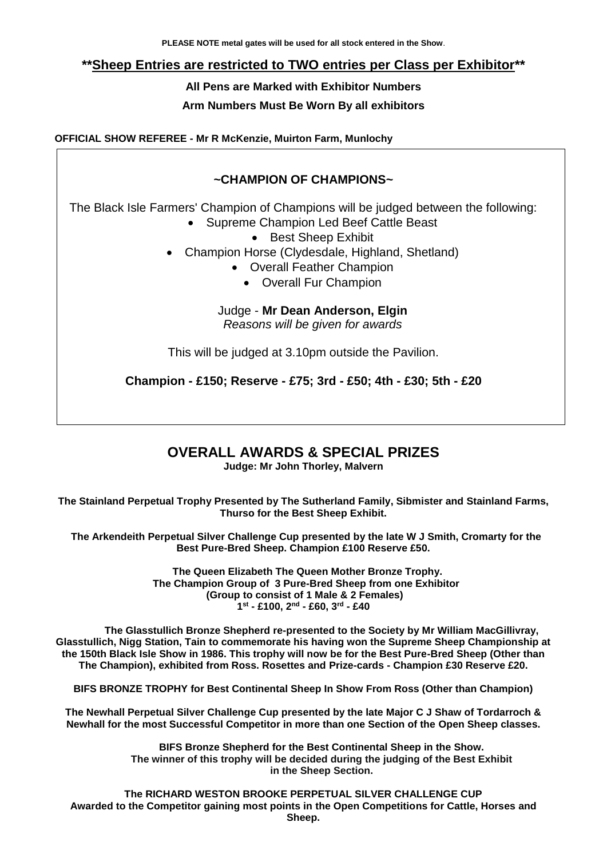### **\*\*Sheep Entries are restricted to TWO entries per Class per Exhibitor\*\***

**All Pens are Marked with Exhibitor Numbers**

**Arm Numbers Must Be Worn By all exhibitors**

**OFFICIAL SHOW REFEREE - Mr R McKenzie, Muirton Farm, Munlochy**

### **~CHAMPION OF CHAMPIONS~**

The Black Isle Farmers' Champion of Champions will be judged between the following:

- Supreme Champion Led Beef Cattle Beast
	- Best Sheep Exhibit
- Champion Horse (Clydesdale, Highland, Shetland)
	- Overall Feather Champion
		- Overall Fur Champion

Judge - **Mr Dean Anderson, Elgin**

*Reasons will be given for awards*

This will be judged at 3.10pm outside the Pavilion.

**Champion - £150; Reserve - £75; 3rd - £50; 4th - £30; 5th - £20**

## **OVERALL AWARDS & SPECIAL PRIZES**

**Judge: Mr John Thorley, Malvern**

**The Stainland Perpetual Trophy Presented by The Sutherland Family, Sibmister and Stainland Farms, Thurso for the Best Sheep Exhibit.**

 **The Arkendeith Perpetual Silver Challenge Cup presented by the late W J Smith, Cromarty for the Best Pure-Bred Sheep. Champion £100 Reserve £50.**

> **The Queen Elizabeth The Queen Mother Bronze Trophy. The Champion Group of 3 Pure-Bred Sheep from one Exhibitor (Group to consist of 1 Male & 2 Females) 1 st - £100, 2nd - £60, 3rd - £40**

**The Glasstullich Bronze Shepherd re-presented to the Society by Mr William MacGillivray, Glasstullich, Nigg Station, Tain to commemorate his having won the Supreme Sheep Championship at the 150th Black Isle Show in 1986. This trophy will now be for the Best Pure-Bred Sheep (Other than The Champion), exhibited from Ross. Rosettes and Prize-cards - Champion £30 Reserve £20.**

**BIFS BRONZE TROPHY for Best Continental Sheep In Show From Ross (Other than Champion)**

**The Newhall Perpetual Silver Challenge Cup presented by the late Major C J Shaw of Tordarroch & Newhall for the most Successful Competitor in more than one Section of the Open Sheep classes.**

> **BIFS Bronze Shepherd for the Best Continental Sheep in the Show. The winner of this trophy will be decided during the judging of the Best Exhibit in the Sheep Section.**

**The RICHARD WESTON BROOKE PERPETUAL SILVER CHALLENGE CUP Awarded to the Competitor gaining most points in the Open Competitions for Cattle, Horses and Sheep.**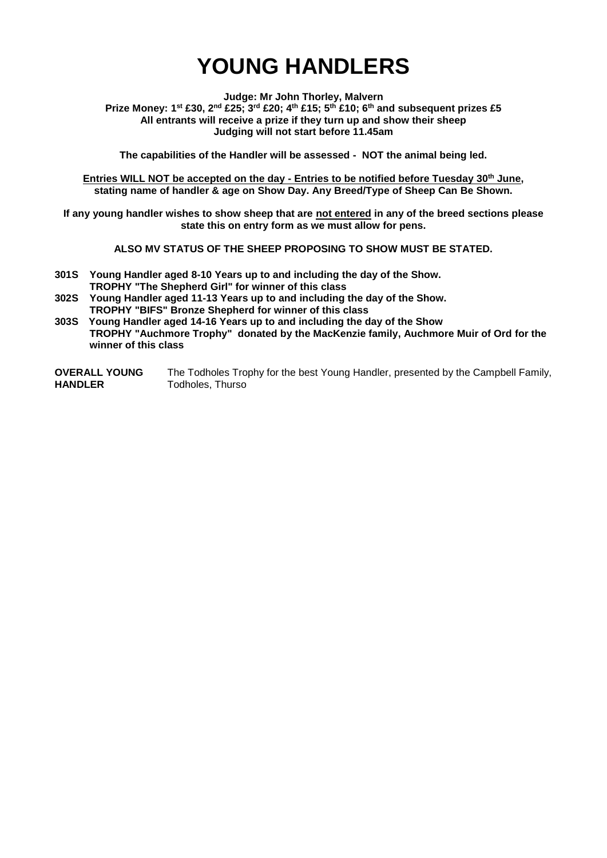# **YOUNG HANDLERS**

**Judge: Mr John Thorley, Malvern Prize Money: 1st £30, 2nd £25; 3rd £20; 4th £15; 5th £10; 6th and subsequent prizes £5 All entrants will receive a prize if they turn up and show their sheep Judging will not start before 11.45am**

**The capabilities of the Handler will be assessed - NOT the animal being led.**

**Entries WILL NOT be accepted on the day - Entries to be notified before Tuesday 30th June, stating name of handler & age on Show Day. Any Breed/Type of Sheep Can Be Shown.**

**If any young handler wishes to show sheep that are not entered in any of the breed sections please state this on entry form as we must allow for pens.**

**ALSO MV STATUS OF THE SHEEP PROPOSING TO SHOW MUST BE STATED.**

- **301S Young Handler aged 8-10 Years up to and including the day of the Show. TROPHY "The Shepherd Girl" for winner of this class**
- **302S Young Handler aged 11-13 Years up to and including the day of the Show. TROPHY "BIFS" Bronze Shepherd for winner of this class**

**303S Young Handler aged 14-16 Years up to and including the day of the Show TROPHY "Auchmore Trophy" donated by the MacKenzie family, Auchmore Muir of Ord for the winner of this class**

**OVERALL YOUNG HANDLER** The Todholes Trophy for the best Young Handler, presented by the Campbell Family, Todholes, Thurso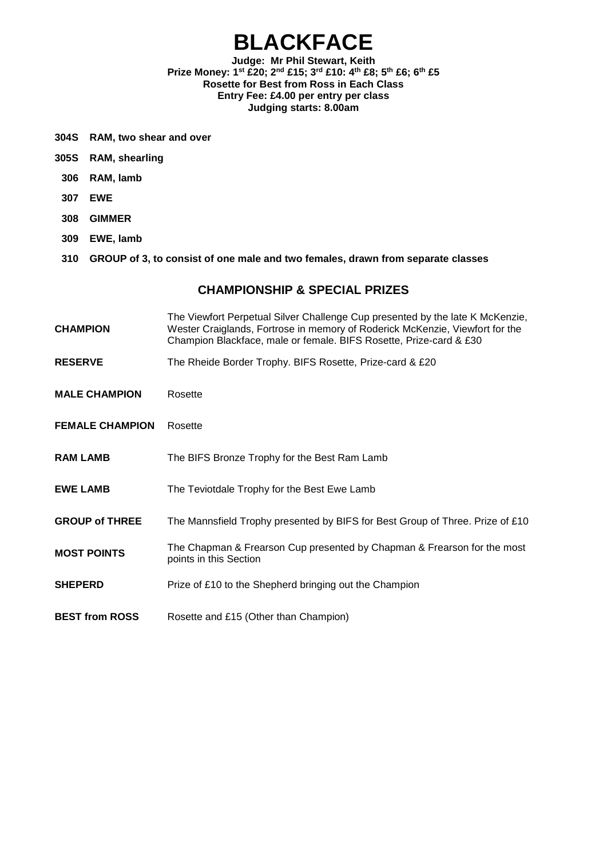## **BLACKFACE**

#### **Judge: Mr Phil Stewart, Keith Prize Money: 1st £20; 2nd £15; 3rd £10: 4th £8; 5th £6; 6th £5 Rosette for Best from Ross in Each Class Entry Fee: £4.00 per entry per class Judging starts: 8.00am**

- **304S RAM, two shear and over**
- **305S RAM, shearling**
- **306 RAM, lamb**
- **307 EWE**
- **308 GIMMER**
- **309 EWE, lamb**
- **310 GROUP of 3, to consist of one male and two females, drawn from separate classes**

- **CHAMPION** The Viewfort Perpetual Silver Challenge Cup presented by the late K McKenzie, Wester Craiglands, Fortrose in memory of Roderick McKenzie, Viewfort for the Champion Blackface, male or female. BIFS Rosette, Prize-card & £30
- RESERVE The Rheide Border Trophy. BIFS Rosette, Prize-card & £20
- **MALE CHAMPION** Rosette
- **FEMALE CHAMPION** Rosette
- **RAM LAMB** The BIFS Bronze Trophy for the Best Ram Lamb
- **EWE LAMB** The Teviotdale Trophy for the Best Ewe Lamb
- **GROUP of THREE** The Mannsfield Trophy presented by BIFS for Best Group of Three. Prize of £10
- **MOST POINTS** The Chapman & Frearson Cup presented by Chapman & Frearson for the most points in this Section
- **SHEPERD** Prize of £10 to the Shepherd bringing out the Champion
- **BEST from ROSS** Rosette and £15 (Other than Champion)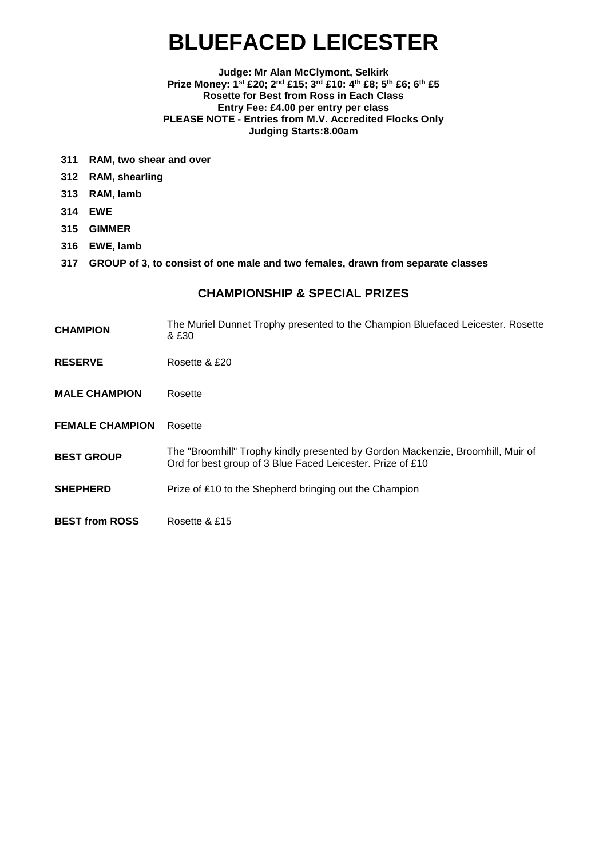# **BLUEFACED LEICESTER**

#### **Judge: Mr Alan McClymont, Selkirk Prize Money: 1st £20; 2nd £15; 3rd £10: 4th £8; 5th £6; 6th £5 Rosette for Best from Ross in Each Class Entry Fee: £4.00 per entry per class PLEASE NOTE - Entries from M.V. Accredited Flocks Only Judging Starts:8.00am**

- **311 RAM, two shear and over**
- **312 RAM, shearling**
- **313 RAM, lamb**
- **314 EWE**
- **315 GIMMER**
- **316 EWE, lamb**
- **317 GROUP of 3, to consist of one male and two females, drawn from separate classes**

- **CHAMPION** The Muriel Dunnet Trophy presented to the Champion Bluefaced Leicester. Rosette & £30
- **RESERVE** Rosette & £20
- **MALE CHAMPION** Rosette
- **FEMALE CHAMPION** Rosette
- **BEST GROUP** The "Broomhill" Trophy kindly presented by Gordon Mackenzie, Broomhill, Muir of Ord for best group of 3 Blue Faced Leicester. Prize of £10
- **SHEPHERD** Prize of £10 to the Shepherd bringing out the Champion
- **BEST from ROSS** Rosette & £15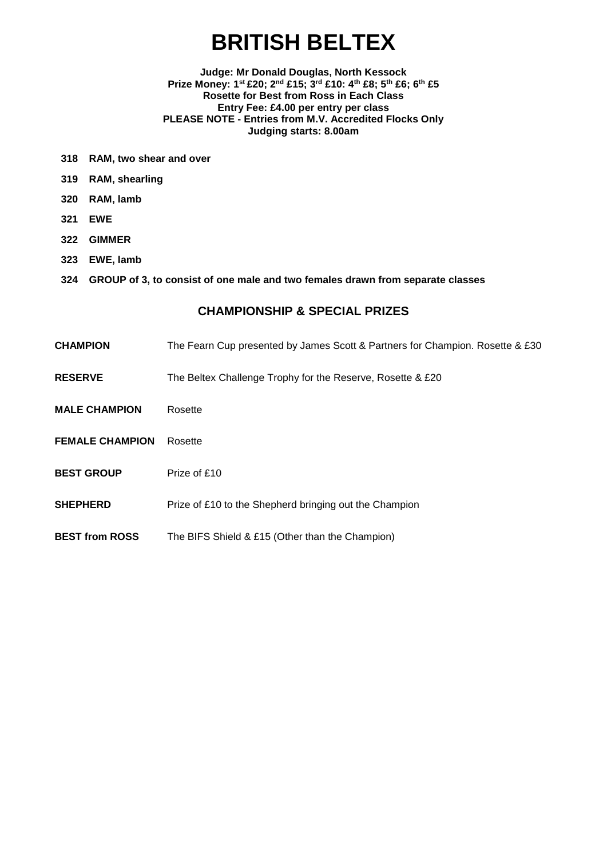# **BRITISH BELTEX**

#### **Judge: Mr Donald Douglas, North Kessock Prize Money: 1st £20; 2nd £15; 3rd £10: 4th £8; 5th £6; 6th £5 Rosette for Best from Ross in Each Class Entry Fee: £4.00 per entry per class PLEASE NOTE - Entries from M.V. Accredited Flocks Only Judging starts: 8.00am**

- **318 RAM, two shear and over**
- **319 RAM, shearling**
- **320 RAM, lamb**
- **321 EWE**
- **322 GIMMER**
- **323 EWE, lamb**
- **324 GROUP of 3, to consist of one male and two females drawn from separate classes**

- **CHAMPION** The Fearn Cup presented by James Scott & Partners for Champion. Rosette & £30
- **RESERVE** The Beltex Challenge Trophy for the Reserve, Rosette & £20
- **MALE CHAMPION** Rosette
- **FEMALE CHAMPION** Rosette
- **BEST GROUP** Prize of £10
- **SHEPHERD** Prize of £10 to the Shepherd bringing out the Champion
- **BEST from ROSS** The BIFS Shield & £15 (Other than the Champion)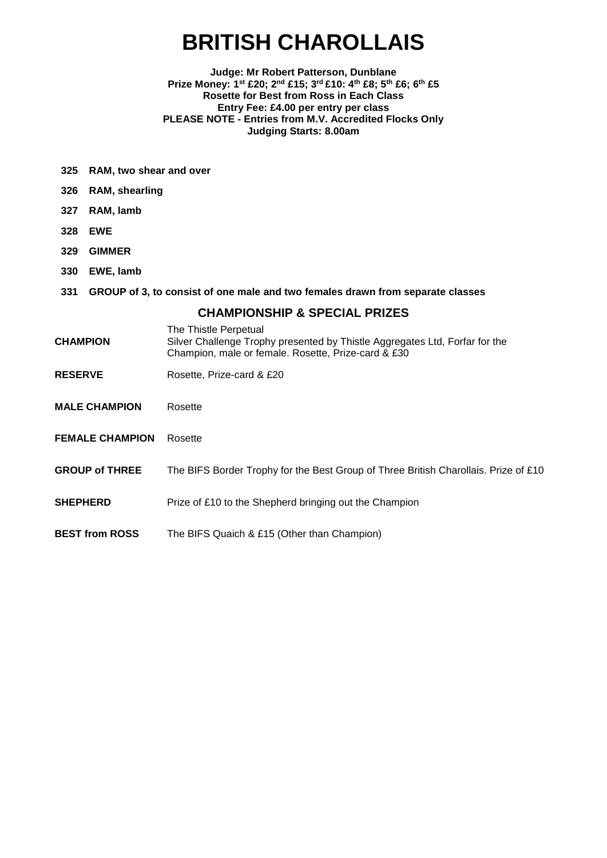# **BRITISH CHAROLLAIS**

#### **Judge: Mr Robert Patterson, Dunblane Prize Money: 1st £20; 2nd £15; 3rd £10: 4th £8; 5th £6; 6th £5 Rosette for Best from Ross in Each Class Entry Fee: £4.00 per entry per class PLEASE NOTE - Entries from M.V. Accredited Flocks Only Judging Starts: 8.00am**

- **325 RAM, two shear and over**
- **326 RAM, shearling**
- **327 RAM, lamb**
- **328 EWE**
- **329 GIMMER**
- **330 EWE, lamb**
- **331 GROUP of 3, to consist of one male and two females drawn from separate classes**

- The Thistle Perpetual
- **CHAMPION** Silver Challenge Trophy presented by Thistle Aggregates Ltd, Forfar for the Champion, male or female. Rosette, Prize-card & £30
- **RESERVE** Rosette, Prize-card & £20
- **MALE CHAMPION** Rosette
- **FEMALE CHAMPION** Rosette
- **GROUP of THREE** The BIFS Border Trophy for the Best Group of Three British Charollais. Prize of £10
- **SHEPHERD** Prize of £10 to the Shepherd bringing out the Champion
- **BEST from ROSS** The BIFS Quaich & £15 (Other than Champion)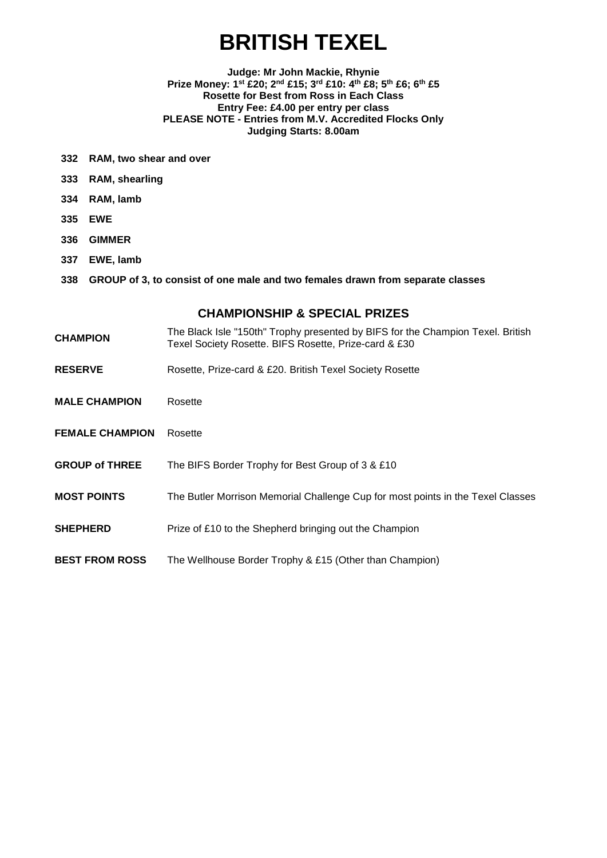# **BRITISH TEXEL**

#### **Judge: Mr John Mackie, Rhynie Prize Money: 1st £20; 2nd £15; 3rd £10: 4th £8; 5th £6; 6th £5 Rosette for Best from Ross in Each Class Entry Fee: £4.00 per entry per class PLEASE NOTE - Entries from M.V. Accredited Flocks Only Judging Starts: 8.00am**

- **332 RAM, two shear and over**
- **333 RAM, shearling**
- **334 RAM, lamb**
- **335 EWE**
- **336 GIMMER**
- **337 EWE, lamb**
- **338 GROUP of 3, to consist of one male and two females drawn from separate classes**

- **CHAMPION** The Black Isle "150th" Trophy presented by BIFS for the Champion Texel. British Texel Society Rosette. BIFS Rosette, Prize-card & £30
- RESERVE Rosette, Prize-card & £20. British Texel Society Rosette
- **MALE CHAMPION** Rosette
- **FEMALE CHAMPION** Rosette
- **GROUP of THREE** The BIFS Border Trophy for Best Group of 3 & £10
- **MOST POINTS** The Butler Morrison Memorial Challenge Cup for most points in the Texel Classes
- **SHEPHERD** Prize of £10 to the Shepherd bringing out the Champion
- **BEST FROM ROSS** The Wellhouse Border Trophy & £15 (Other than Champion)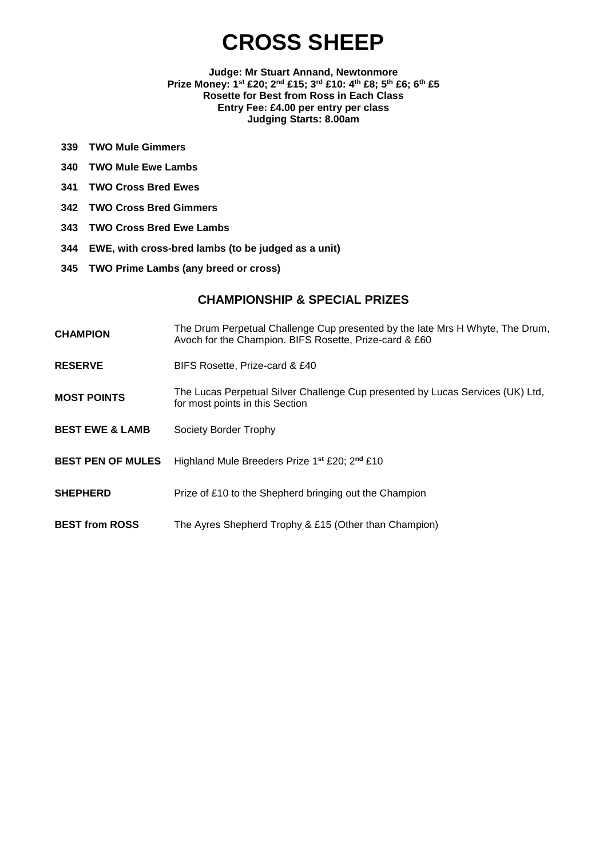# **CROSS SHEEP**

**Judge: Mr Stuart Annand, Newtonmore Prize Money: 1st £20; 2nd £15; 3rd £10: 4th £8; 5th £6; 6th £5 Rosette for Best from Ross in Each Class Entry Fee: £4.00 per entry per class Judging Starts: 8.00am**

- **339 TWO Mule Gimmers**
- **340 TWO Mule Ewe Lambs**
- **341 TWO Cross Bred Ewes**
- **342 TWO Cross Bred Gimmers**
- **343 TWO Cross Bred Ewe Lambs**
- **344 EWE, with cross-bred lambs (to be judged as a unit)**
- **345 TWO Prime Lambs (any breed or cross)**

- **CHAMPION** The Drum Perpetual Challenge Cup presented by the late Mrs H Whyte, The Drum, Avoch for the Champion. BIFS Rosette, Prize-card & £60
- **RESERVE** BIFS Rosette, Prize-card & £40
- **MOST POINTS** The Lucas Perpetual Silver Challenge Cup presented by Lucas Services (UK) Ltd, for most points in this Section
- **BEST EWE & LAMB** Society Border Trophy
- **BEST PEN OF MULES** Highland Mule Breeders Prize 1**st** £20; 2**nd** £10
- **SHEPHERD** Prize of £10 to the Shepherd bringing out the Champion
- **BEST from ROSS** The Ayres Shepherd Trophy & £15 (Other than Champion)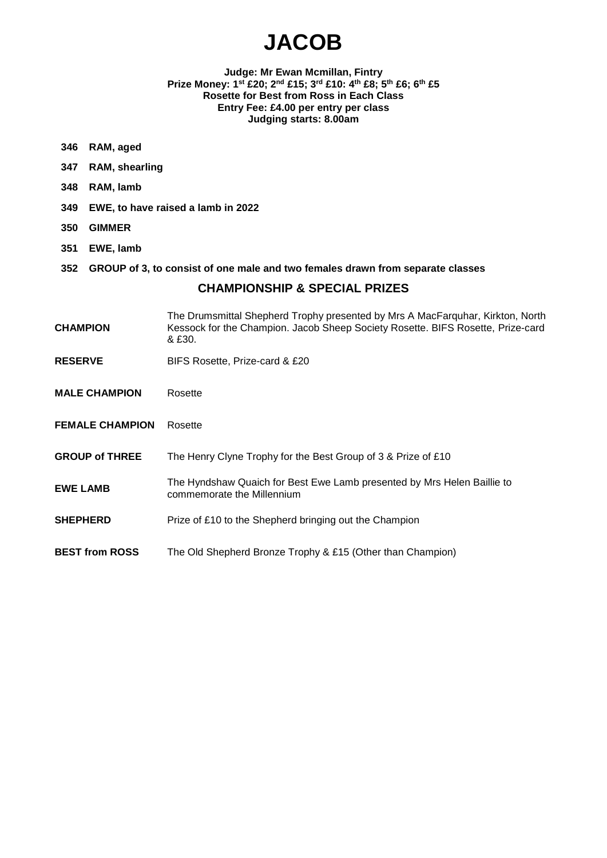# **JACOB**

#### **Judge: Mr Ewan Mcmillan, Fintry Prize Money: 1st £20; 2nd £15; 3rd £10: 4th £8; 5th £6; 6th £5 Rosette for Best from Ross in Each Class Entry Fee: £4.00 per entry per class Judging starts: 8.00am**

- **346 RAM, aged**
- **347 RAM, shearling**
- **348 RAM, lamb**
- **349 EWE, to have raised a lamb in 2022**
- **350 GIMMER**
- **351 EWE, lamb**
- **352 GROUP of 3, to consist of one male and two females drawn from separate classes**

- **CHAMPION** The Drumsmittal Shepherd Trophy presented by Mrs A MacFarquhar, Kirkton, North Kessock for the Champion. Jacob Sheep Society Rosette. BIFS Rosette, Prize-card & £30.
- **RESERVE** BIFS Rosette, Prize-card & £20
- **MALE CHAMPION** Rosette
- **FEMALE CHAMPION** Rosette
- **GROUP of THREE** The Henry Clyne Trophy for the Best Group of 3 & Prize of £10
- **EWE LAMB** The Hyndshaw Quaich for Best Ewe Lamb presented by Mrs Helen Baillie to commemorate the Millennium
- **SHEPHERD** Prize of £10 to the Shepherd bringing out the Champion
- **BEST from ROSS** The Old Shepherd Bronze Trophy & £15 (Other than Champion)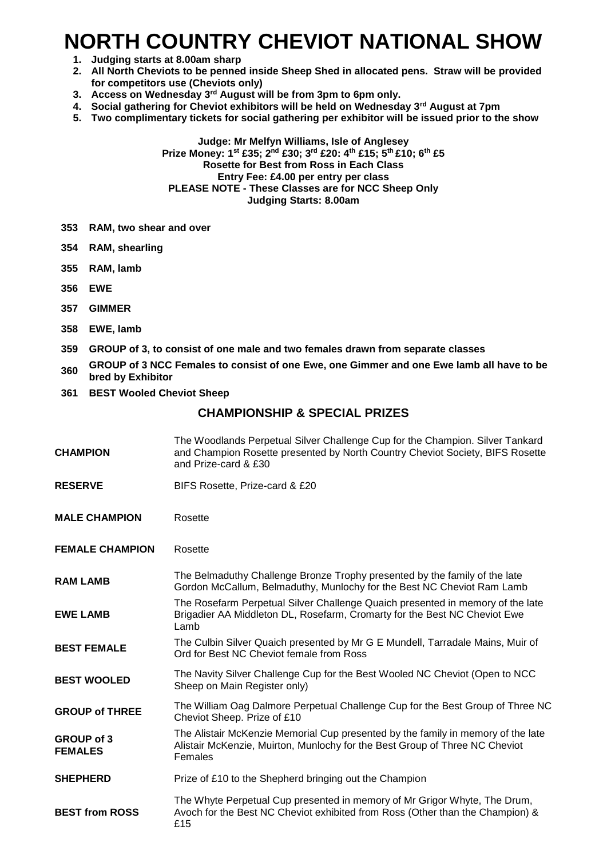# **NORTH COUNTRY CHEVIOT NATIONAL SHOW**

- **1. Judging starts at 8.00am sharp**
- **2. All North Cheviots to be penned inside Sheep Shed in allocated pens. Straw will be provided for competitors use (Cheviots only)**
- **3. Access on Wednesday 3rd August will be from 3pm to 6pm only.**
- **4. Social gathering for Cheviot exhibitors will be held on Wednesday 3rd August at 7pm**
- **5. Two complimentary tickets for social gathering per exhibitor will be issued prior to the show**

#### **Judge: Mr Melfyn Williams, Isle of Anglesey Prize Money: 1 st £35; 2nd £30; 3rd £20: 4th £15; 5th £10; 6th £5 Rosette for Best from Ross in Each Class Entry Fee: £4.00 per entry per class PLEASE NOTE - These Classes are for NCC Sheep Only Judging Starts: 8.00am**

- **353 RAM, two shear and over**
- **354 RAM, shearling**
- **355 RAM, lamb**
- **356 EWE**
- **357 GIMMER**
- **358 EWE, lamb**
- **359 GROUP of 3, to consist of one male and two females drawn from separate classes**
- **<sup>360</sup> GROUP of 3 NCC Females to consist of one Ewe, one Gimmer and one Ewe lamb all have to be bred by Exhibitor**
- **361 BEST Wooled Cheviot Sheep**

### **CHAMPIONSHIP & SPECIAL PRIZES**

**CHAMPION** The Woodlands Perpetual Silver Challenge Cup for the Champion. Silver Tankard and Champion Rosette presented by North Country Cheviot Society, BIFS Rosette and Prize-card & £30 **RESERVE** BIFS Rosette, Prize-card & £20 **MALE CHAMPION** Rosette **FEMALE CHAMPION** Rosette **RAM LAMB** The Belmaduthy Challenge Bronze Trophy presented by the family of the late Gordon McCallum, Belmaduthy, Munlochy for the Best NC Cheviot Ram Lamb **EWE LAMB** The Rosefarm Perpetual Silver Challenge Quaich presented in memory of the late Brigadier AA Middleton DL, Rosefarm, Cromarty for the Best NC Cheviot Ewe Lamb **BEST FEMALE** The Culbin Silver Quaich presented by Mr G E Mundell, Tarradale Mains, Muir of Ord for Best NC Cheviot female from Ross **BEST WOOLED** The Navity Silver Challenge Cup for the Best Wooled NC Cheviot (Open to NCC Sheep on Main Register only) **GROUP of THREE** The William Oag Dalmore Perpetual Challenge Cup for the Best Group of Three NC Cheviot Sheep. Prize of £10 **GROUP of 3 FEMALES** The Alistair McKenzie Memorial Cup presented by the family in memory of the late Alistair McKenzie, Muirton, Munlochy for the Best Group of Three NC Cheviot Females **SHEPHERD** Prize of £10 to the Shepherd bringing out the Champion **BEST from ROSS** The Whyte Perpetual Cup presented in memory of Mr Grigor Whyte, The Drum, Avoch for the Best NC Cheviot exhibited from Ross (Other than the Champion) & £15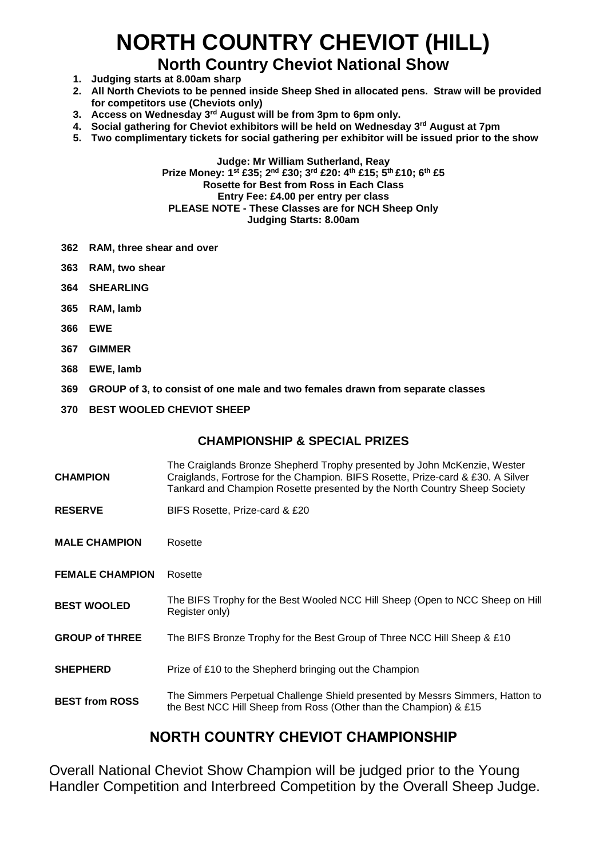# **NORTH COUNTRY CHEVIOT (HILL)**

## **North Country Cheviot National Show**

- **1. Judging starts at 8.00am sharp**
- **2. All North Cheviots to be penned inside Sheep Shed in allocated pens. Straw will be provided for competitors use (Cheviots only)**
- **3. Access on Wednesday 3rd August will be from 3pm to 6pm only.**
- **4. Social gathering for Cheviot exhibitors will be held on Wednesday 3rd August at 7pm**
- **5. Two complimentary tickets for social gathering per exhibitor will be issued prior to the show**

**Judge: Mr William Sutherland, Reay Prize Money: 1 st £35; 2nd £30; 3rd £20: 4th £15; 5th £10; 6th £5 Rosette for Best from Ross in Each Class Entry Fee: £4.00 per entry per class PLEASE NOTE - These Classes are for NCH Sheep Only Judging Starts: 8.00am**

- **362 RAM, three shear and over**
- **363 RAM, two shear**
- **364 SHEARLING**
- **365 RAM, lamb**
- **366 EWE**
- **367 GIMMER**
- **368 EWE, lamb**
- **369 GROUP of 3, to consist of one male and two females drawn from separate classes**
- **370 BEST WOOLED CHEVIOT SHEEP**

### **CHAMPIONSHIP & SPECIAL PRIZES**

- **CHAMPION** The Craiglands Bronze Shepherd Trophy presented by John McKenzie, Wester Craiglands, Fortrose for the Champion. BIFS Rosette, Prize-card & £30. A Silver Tankard and Champion Rosette presented by the North Country Sheep Society
- **RESERVE** BIFS Rosette, Prize-card & £20
- **MALE CHAMPION** Rosette
- **FEMALE CHAMPION** Rosette
- **BEST WOOLED** The BIFS Trophy for the Best Wooled NCC Hill Sheep (Open to NCC Sheep on Hill Register only)
- **GROUP of THREE** The BIFS Bronze Trophy for the Best Group of Three NCC Hill Sheep & £10
- **SHEPHERD** Prize of £10 to the Shepherd bringing out the Champion
- **BEST from ROSS** The Simmers Perpetual Challenge Shield presented by Messrs Simmers, Hatton to the Best NCC Hill Sheep from Ross (Other than the Champion) & £15

### **NORTH COUNTRY CHEVIOT CHAMPIONSHIP**

Overall National Cheviot Show Champion will be judged prior to the Young Handler Competition and Interbreed Competition by the Overall Sheep Judge.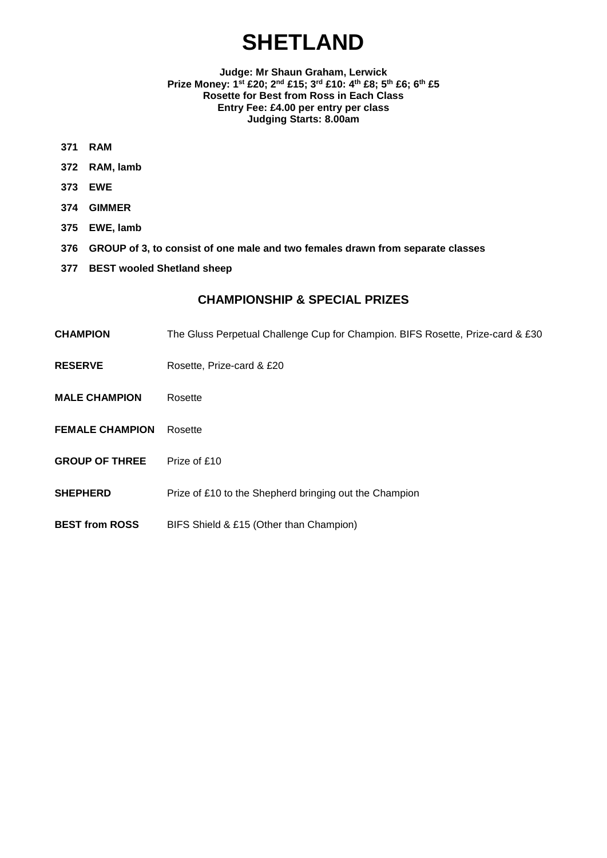# **SHETLAND**

#### **Judge: Mr Shaun Graham, Lerwick Prize Money: 1st £20; 2nd £15; 3rd £10: 4th £8; 5th £6; 6th £5 Rosette for Best from Ross in Each Class Entry Fee: £4.00 per entry per class Judging Starts: 8.00am**

- **371 RAM**
- **372 RAM, lamb**
- **373 EWE**
- **374 GIMMER**
- **375 EWE, lamb**
- **376 GROUP of 3, to consist of one male and two females drawn from separate classes**
- **377 BEST wooled Shetland sheep**

- **CHAMPION** The Gluss Perpetual Challenge Cup for Champion. BIFS Rosette, Prize-card & £30
- **RESERVE** Rosette, Prize-card & £20
- **MALE CHAMPION** Rosette
- **FEMALE CHAMPION** Rosette
- **GROUP OF THREE** Prize of £10
- **SHEPHERD** Prize of £10 to the Shepherd bringing out the Champion
- **BEST from ROSS** BIFS Shield & £15 (Other than Champion)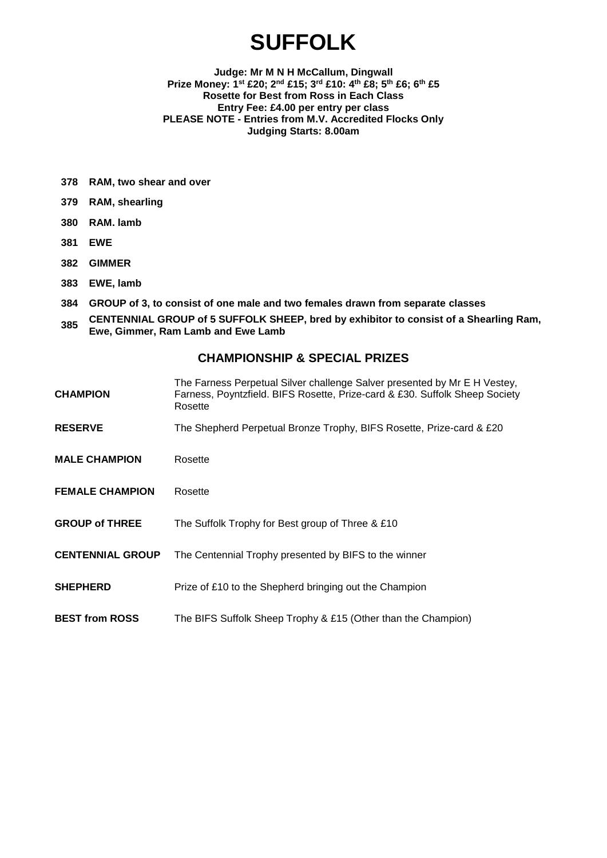# **SUFFOLK**

#### **Judge: Mr M N H McCallum, Dingwall Prize Money: 1st £20; 2nd £15; 3rd £10: 4th £8; 5th £6; 6th £5 Rosette for Best from Ross in Each Class Entry Fee: £4.00 per entry per class PLEASE NOTE - Entries from M.V. Accredited Flocks Only Judging Starts: 8.00am**

- **378 RAM, two shear and over**
- **379 RAM, shearling**
- **380 RAM. lamb**
- **381 EWE**
- **382 GIMMER**
- **383 EWE, lamb**
- **384 GROUP of 3, to consist of one male and two females drawn from separate classes**
- **<sup>385</sup> CENTENNIAL GROUP of 5 SUFFOLK SHEEP, bred by exhibitor to consist of a Shearling Ram, Ewe, Gimmer, Ram Lamb and Ewe Lamb**

| CHAMPION                | The Farness Perpetual Silver challenge Salver presented by Mr E H Vestey,<br>Farness, Poyntzfield. BIFS Rosette, Prize-card & £30. Suffolk Sheep Society<br>Rosette |
|-------------------------|---------------------------------------------------------------------------------------------------------------------------------------------------------------------|
| <b>RESERVE</b>          | The Shepherd Perpetual Bronze Trophy, BIFS Rosette, Prize-card & £20                                                                                                |
| <b>MALE CHAMPION</b>    | Rosette                                                                                                                                                             |
| <b>FEMALE CHAMPION</b>  | Rosette                                                                                                                                                             |
| <b>GROUP of THREE</b>   | The Suffolk Trophy for Best group of Three & £10                                                                                                                    |
| <b>CENTENNIAL GROUP</b> | The Centennial Trophy presented by BIFS to the winner                                                                                                               |
| <b>SHEPHERD</b>         | Prize of £10 to the Shepherd bringing out the Champion                                                                                                              |
| <b>BEST from ROSS</b>   | The BIFS Suffolk Sheep Trophy & £15 (Other than the Champion)                                                                                                       |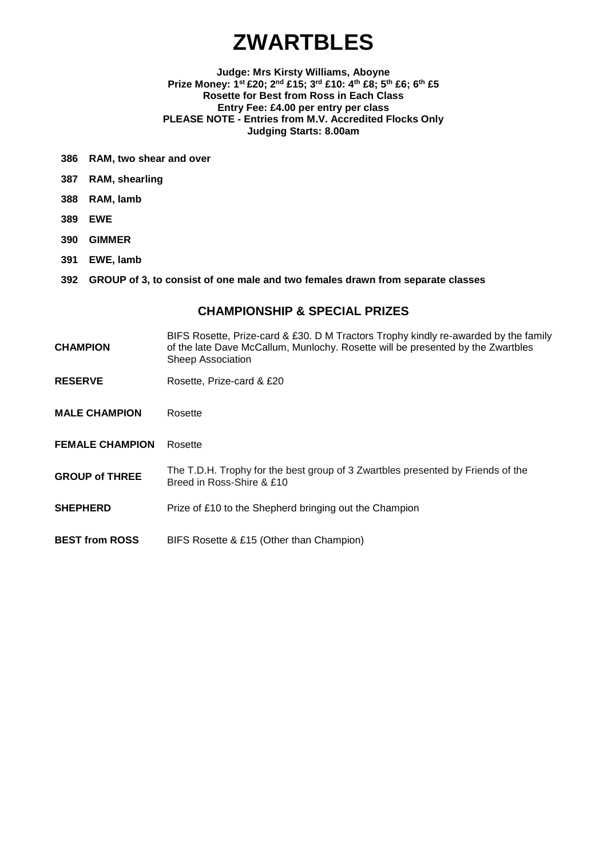# **ZWARTBLES**

#### **Judge: Mrs Kirsty Williams, Aboyne Prize Money: 1st £20; 2nd £15; 3rd £10: 4th £8; 5th £6; 6th £5 Rosette for Best from Ross in Each Class Entry Fee: £4.00 per entry per class PLEASE NOTE - Entries from M.V. Accredited Flocks Only Judging Starts: 8.00am**

- **386 RAM, two shear and over**
- **387 RAM, shearling**
- **388 RAM, lamb**
- **389 EWE**
- **390 GIMMER**
- **391 EWE, lamb**
- **392 GROUP of 3, to consist of one male and two females drawn from separate classes**

- **CHAMPION** BIFS Rosette, Prize-card & £30. D M Tractors Trophy kindly re-awarded by the family of the late Dave McCallum, Munlochy. Rosette will be presented by the Zwartbles Sheep Association
- **RESERVE** Rosette, Prize-card & £20
- **MALE CHAMPION** Rosette
- **FEMALE CHAMPION** Rosette
- **GROUP of THREE** The T.D.H. Trophy for the best group of 3 Zwartbles presented by Friends of the Breed in Ross-Shire & £10
- **SHEPHERD** Prize of £10 to the Shepherd bringing out the Champion
- **BEST from ROSS** BIFS Rosette & £15 (Other than Champion)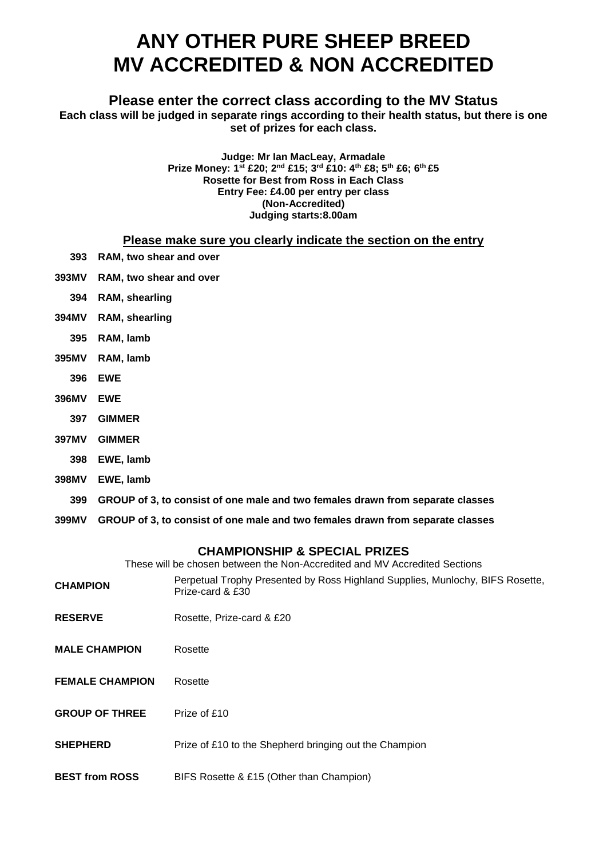## **ANY OTHER PURE SHEEP BREED MV ACCREDITED & NON ACCREDITED**

### **Please enter the correct class according to the MV Status**

**Each class will be judged in separate rings according to their health status, but there is one set of prizes for each class.**

> **Judge: Mr Ian MacLeay, Armadale Prize Money: 1st £20; 2nd £15; 3rd £10: 4th £8; 5th £6; 6th £5 Rosette for Best from Ross in Each Class Entry Fee: £4.00 per entry per class (Non-Accredited) Judging starts:8.00am**

### **Please make sure you clearly indicate the section on the entry**

- **393 RAM, two shear and over**
- **393MV RAM, two shear and over**
	- **394 RAM, shearling**
- **394MV RAM, shearling**
	- **395 RAM, lamb**
- **395MV RAM, lamb**
	- **396 EWE**
- **396MV EWE**
	- **397 GIMMER**
- **397MV GIMMER**
	- **398 EWE, lamb**
- **398MV EWE, lamb**
- **399 GROUP of 3, to consist of one male and two females drawn from separate classes**
- **399MV GROUP of 3, to consist of one male and two females drawn from separate classes**

### **CHAMPIONSHIP & SPECIAL PRIZES**

These will be chosen between the Non-Accredited and MV Accredited Sections

| <b>CHAMPION</b>        | Perpetual Trophy Presented by Ross Highland Supplies, Munlochy, BIFS Rosette,<br>Prize-card & £30 |
|------------------------|---------------------------------------------------------------------------------------------------|
| <b>RESERVE</b>         | Rosette, Prize-card & £20                                                                         |
| <b>MALE CHAMPION</b>   | Rosette                                                                                           |
| <b>FEMALE CHAMPION</b> | Rosette                                                                                           |
| <b>GROUP OF THREE</b>  | Prize of £10                                                                                      |
| <b>SHEPHERD</b>        | Prize of £10 to the Shepherd bringing out the Champion                                            |
| <b>BEST from ROSS</b>  | BIFS Rosette & £15 (Other than Champion)                                                          |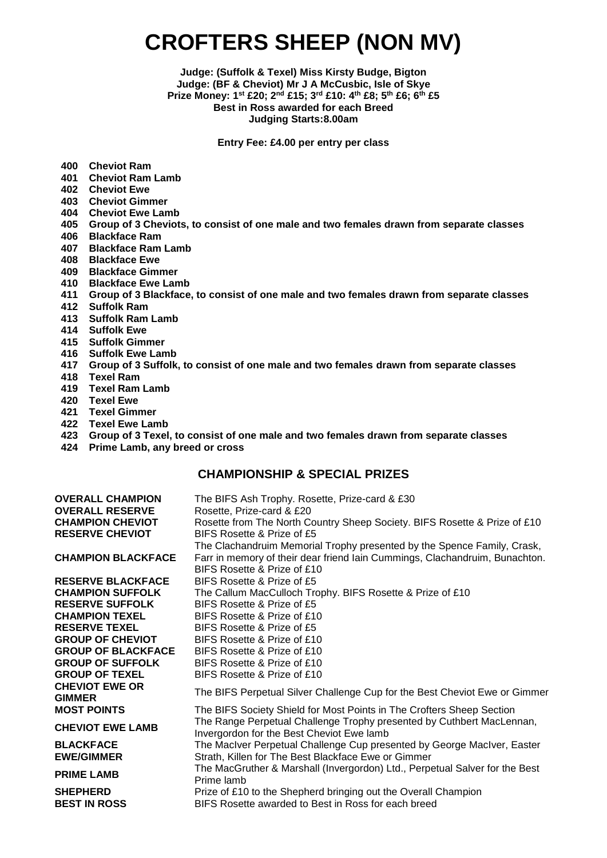# **CROFTERS SHEEP (NON MV)**

**Judge: (Suffolk & Texel) Miss Kirsty Budge, Bigton Judge: (BF & Cheviot) Mr J A McCusbic, Isle of Skye Prize Money: 1st £20; 2nd £15; 3rd £10: 4th £8; 5th £6; 6 th £5 Best in Ross awarded for each Breed Judging Starts:8.00am**

**Entry Fee: £4.00 per entry per class**

- **400 Cheviot Ram**
- **401 Cheviot Ram Lamb**
- **402 Cheviot Ewe**
- **403 Cheviot Gimmer**
- **404 Cheviot Ewe Lamb**
- **405 Group of 3 Cheviots, to consist of one male and two females drawn from separate classes**
- **406 Blackface Ram**
- **407 Blackface Ram Lamb**
- **408 Blackface Ewe**
- **409 Blackface Gimmer**
- **410 Blackface Ewe Lamb**
- **411 Group of 3 Blackface, to consist of one male and two females drawn from separate classes**
- **412 Suffolk Ram**
- **413 Suffolk Ram Lamb**
- **414 Suffolk Ewe**
- **415 Suffolk Gimmer**
- **416 Suffolk Ewe Lamb**
- **417 Group of 3 Suffolk, to consist of one male and two females drawn from separate classes**
- 
- **418 Texel Ram 419 Texel Ram Lamb**
- 
- **420 Texel Ewe 421 Texel Gimmer**
- **422 Texel Ewe Lamb**
- **423 Group of 3 Texel, to consist of one male and two females drawn from separate classes**
- **424 Prime Lamb, any breed or cross**

| <b>OVERALL CHAMPION</b><br><b>OVERALL RESERVE</b><br><b>CHAMPION CHEVIOT</b><br><b>RESERVE CHEVIOT</b> | The BIFS Ash Trophy. Rosette, Prize-card & £30<br>Rosette, Prize-card & £20<br>Rosette from The North Country Sheep Society. BIFS Rosette & Prize of £10<br>BIFS Rosette & Prize of £5<br>The Clachandruim Memorial Trophy presented by the Spence Family, Crask, |
|--------------------------------------------------------------------------------------------------------|-------------------------------------------------------------------------------------------------------------------------------------------------------------------------------------------------------------------------------------------------------------------|
| <b>CHAMPION BLACKFACE</b>                                                                              | Farr in memory of their dear friend Iain Cummings, Clachandruim, Bunachton.<br>BIFS Rosette & Prize of £10                                                                                                                                                        |
| <b>RESERVE BLACKFACE</b>                                                                               | BIFS Rosette & Prize of £5                                                                                                                                                                                                                                        |
| <b>CHAMPION SUFFOLK</b>                                                                                | The Callum MacCulloch Trophy. BIFS Rosette & Prize of £10                                                                                                                                                                                                         |
| <b>RESERVE SUFFOLK</b>                                                                                 | BIFS Rosette & Prize of £5                                                                                                                                                                                                                                        |
| <b>CHAMPION TEXEL</b>                                                                                  | BIFS Rosette & Prize of £10                                                                                                                                                                                                                                       |
| <b>RESERVE TEXEL</b>                                                                                   | BIFS Rosette & Prize of £5                                                                                                                                                                                                                                        |
| <b>GROUP OF CHEVIOT</b>                                                                                | BIFS Rosette & Prize of £10                                                                                                                                                                                                                                       |
| <b>GROUP OF BLACKFACE</b>                                                                              | BIFS Rosette & Prize of £10                                                                                                                                                                                                                                       |
| <b>GROUP OF SUFFOLK</b>                                                                                | BIFS Rosette & Prize of £10                                                                                                                                                                                                                                       |
| <b>GROUP OF TEXEL</b>                                                                                  | BIFS Rosette & Prize of £10                                                                                                                                                                                                                                       |
| <b>CHEVIOT EWE OR</b><br><b>GIMMER</b>                                                                 | The BIFS Perpetual Silver Challenge Cup for the Best Cheviot Ewe or Gimmer                                                                                                                                                                                        |
| <b>MOST POINTS</b>                                                                                     | The BIFS Society Shield for Most Points in The Crofters Sheep Section                                                                                                                                                                                             |
| <b>CHEVIOT EWE LAMB</b>                                                                                | The Range Perpetual Challenge Trophy presented by Cuthbert MacLennan,<br>Invergordon for the Best Cheviot Ewe lamb                                                                                                                                                |
| <b>BLACKFACE</b><br><b>EWE/GIMMER</b>                                                                  | The MacIver Perpetual Challenge Cup presented by George MacIver, Easter<br>Strath, Killen for The Best Blackface Ewe or Gimmer                                                                                                                                    |
| <b>PRIME LAMB</b>                                                                                      | The MacGruther & Marshall (Invergordon) Ltd., Perpetual Salver for the Best<br>Prime lamb                                                                                                                                                                         |
| <b>SHEPHERD</b><br><b>BEST IN ROSS</b>                                                                 | Prize of £10 to the Shepherd bringing out the Overall Champion<br>BIFS Rosette awarded to Best in Ross for each breed                                                                                                                                             |
|                                                                                                        |                                                                                                                                                                                                                                                                   |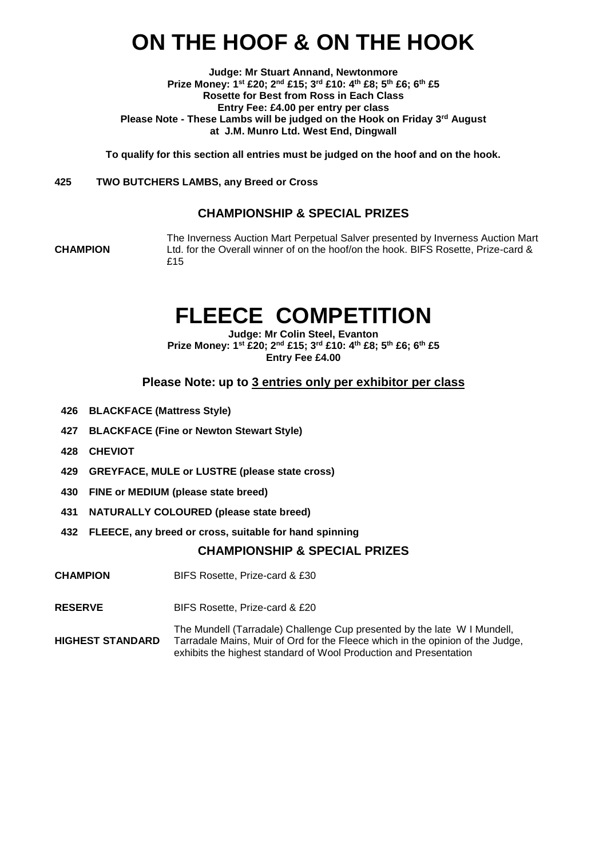# **ON THE HOOF & ON THE HOOK**

**Judge: Mr Stuart Annand, Newtonmore Prize Money: 1st £20; 2nd £15; 3rd £10: 4th £8; 5th £6; 6th £5 Rosette for Best from Ross in Each Class Entry Fee: £4.00 per entry per class Please Note - These Lambs will be judged on the Hook on Friday 3rd August at J.M. Munro Ltd. West End, Dingwall**

**To qualify for this section all entries must be judged on the hoof and on the hook.**

#### **425 TWO BUTCHERS LAMBS, any Breed or Cross**

### **CHAMPIONSHIP & SPECIAL PRIZES**

**CHAMPION**

The Inverness Auction Mart Perpetual Salver presented by Inverness Auction Mart Ltd. for the Overall winner of on the hoof/on the hook. BIFS Rosette, Prize-card & £15

## **FLEECE COMPETITION**

**Judge: Mr Colin Steel, Evanton Prize Money: 1st £20; 2nd £15; 3rd £10: 4th £8; 5th £6; 6th £5 Entry Fee £4.00**

### **Please Note: up to 3 entries only per exhibitor per class**

- **426 BLACKFACE (Mattress Style)**
- **427 BLACKFACE (Fine or Newton Stewart Style)**
- **428 CHEVIOT**
- **429 GREYFACE, MULE or LUSTRE (please state cross)**
- **430 FINE or MEDIUM (please state breed)**
- **431 NATURALLY COLOURED (please state breed)**
- **432 FLEECE, any breed or cross, suitable for hand spinning**

- **CHAMPION** BIFS Rosette, Prize-card & £30
- **RESERVE** BIFS Rosette, Prize-card & £20
- **HIGHEST STANDARD** The Mundell (Tarradale) Challenge Cup presented by the late W I Mundell, Tarradale Mains, Muir of Ord for the Fleece which in the opinion of the Judge, exhibits the highest standard of Wool Production and Presentation